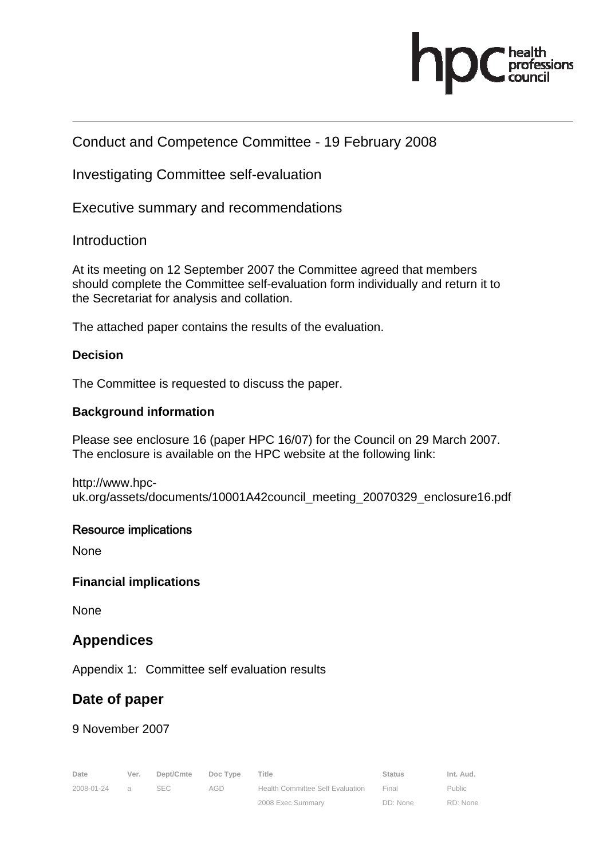

## Conduct and Competence Committee - 19 February 2008

Investigating Committee self-evaluation

Executive summary and recommendations

**Introduction** 

At its meeting on 12 September 2007 the Committee agreed that members should complete the Committee self-evaluation form individually and return it to the Secretariat for analysis and collation.

The attached paper contains the results of the evaluation.

### **Decision**

The Committee is requested to discuss the paper.

#### **Background information**

Please see enclosure 16 (paper HPC 16/07) for the Council on 29 March 2007. The enclosure is available on the HPC website at the following link:

http://www.hpcuk.org/assets/documents/10001A42council\_meeting\_20070329\_enclosure16.pdf

#### Resource implications

None

#### **Financial implications**

**None** 

### **Appendices**

Appendix 1: Committee self evaluation results

# **Date of paper**

9 November 2007

| Date       | Ver.           | Dept/Cmte | Doc Type | Title                                   | <b>Status</b> | Int. Aud. |
|------------|----------------|-----------|----------|-----------------------------------------|---------------|-----------|
| 2008-01-24 | $\overline{a}$ | SEC.      | AGD      | <b>Health Committee Self Evaluation</b> | Final         | Public    |
|            |                |           |          | 2008 Exec Summary                       | DD: None      | RD: None  |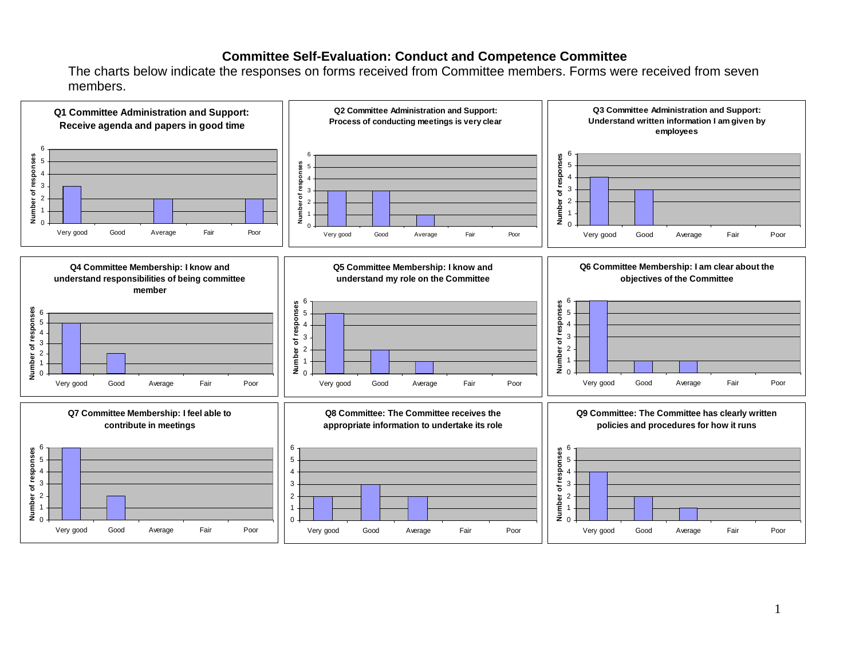### **Committee Self-Evaluation: Conduct and Competence Committee**

The charts below indicate the responses on forms received from Committee members. Forms were received from seven members.

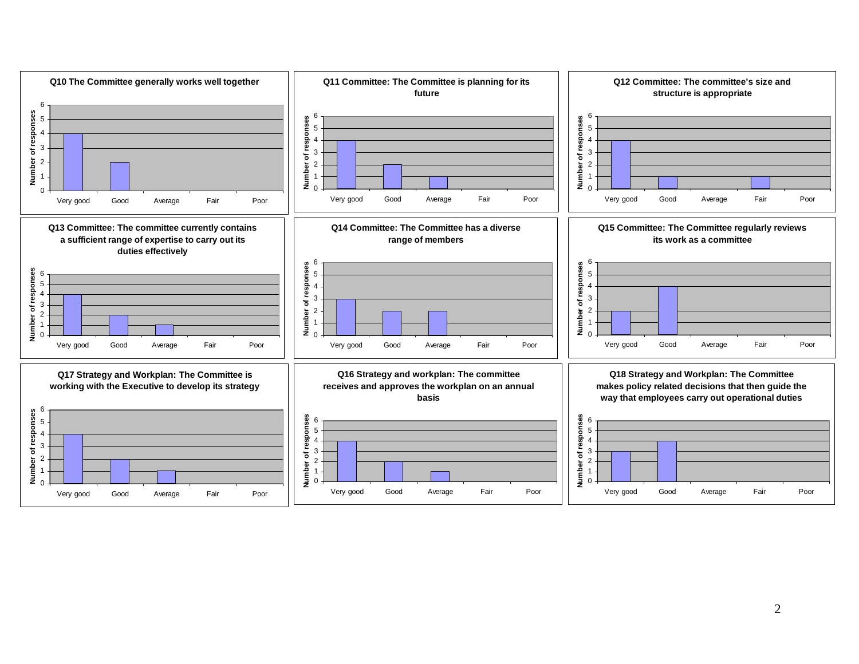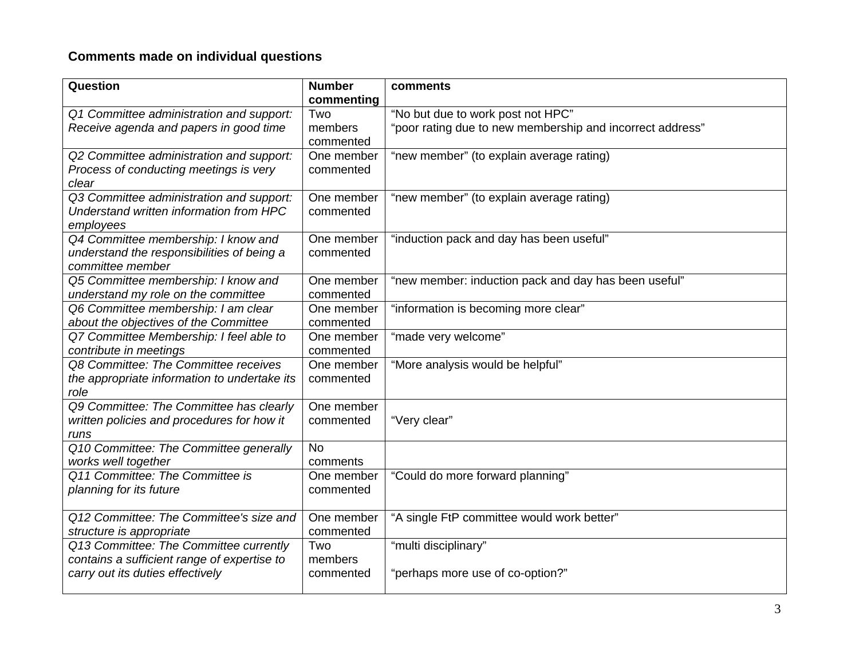# **Comments made on individual questions**

| Question                                     | <b>Number</b> | comments                                                  |
|----------------------------------------------|---------------|-----------------------------------------------------------|
|                                              | commenting    |                                                           |
| Q1 Committee administration and support:     | Two           | "No but due to work post not HPC"                         |
| Receive agenda and papers in good time       | members       | "poor rating due to new membership and incorrect address" |
|                                              | commented     |                                                           |
| Q2 Committee administration and support:     | One member    | "new member" (to explain average rating)                  |
| Process of conducting meetings is very       | commented     |                                                           |
| clear                                        |               |                                                           |
| Q3 Committee administration and support:     | One member    | "new member" (to explain average rating)                  |
| Understand written information from HPC      | commented     |                                                           |
| employees                                    |               |                                                           |
| Q4 Committee membership: I know and          | One member    | "induction pack and day has been useful"                  |
| understand the responsibilities of being a   | commented     |                                                           |
| committee member                             |               |                                                           |
| Q5 Committee membership: I know and          | One member    | "new member: induction pack and day has been useful"      |
| understand my role on the committee          | commented     |                                                           |
| Q6 Committee membership: I am clear          | One member    | "information is becoming more clear"                      |
| about the objectives of the Committee        | commented     |                                                           |
| Q7 Committee Membership: I feel able to      | One member    | "made very welcome"                                       |
| contribute in meetings                       | commented     |                                                           |
| Q8 Committee: The Committee receives         | One member    | "More analysis would be helpful"                          |
| the appropriate information to undertake its | commented     |                                                           |
| role                                         |               |                                                           |
| Q9 Committee: The Committee has clearly      | One member    |                                                           |
| written policies and procedures for how it   | commented     | "Very clear"                                              |
| runs                                         |               |                                                           |
| Q10 Committee: The Committee generally       | <b>No</b>     |                                                           |
| works well together                          | comments      |                                                           |
| Q11 Committee: The Committee is              | One member    | "Could do more forward planning"                          |
| planning for its future                      | commented     |                                                           |
| Q12 Committee: The Committee's size and      | One member    | "A single FtP committee would work better"                |
| structure is appropriate                     | commented     |                                                           |
| Q13 Committee: The Committee currently       | Two           | "multi disciplinary"                                      |
| contains a sufficient range of expertise to  | members       |                                                           |
| carry out its duties effectively             | commented     | "perhaps more use of co-option?"                          |
|                                              |               |                                                           |